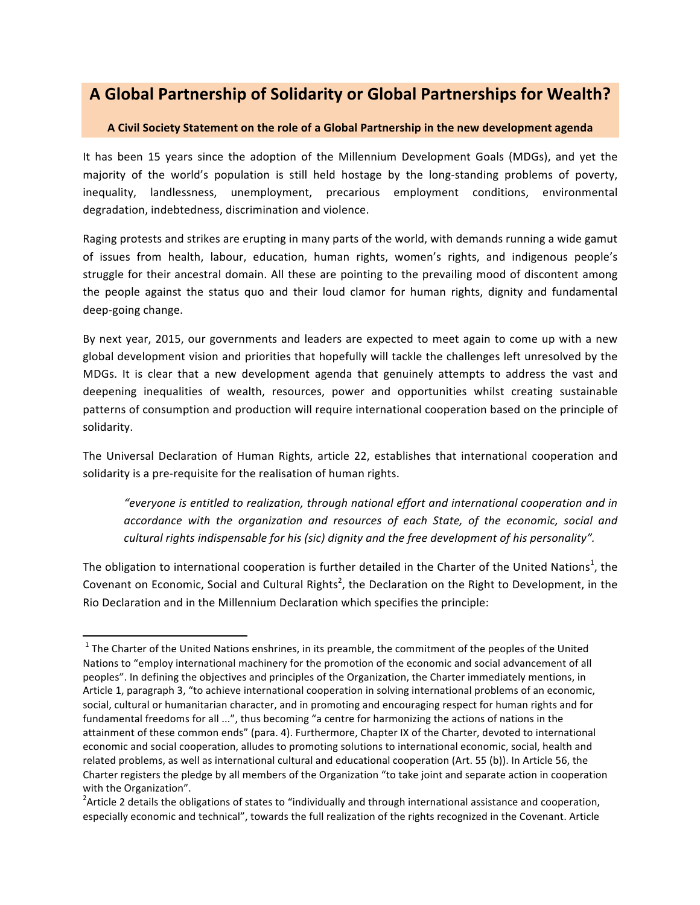## **A Global Partnership of Solidarity or Global Partnerships for Wealth?**

## **A Civil Society Statement on the role of a Global Partnership in the new development agenda**

It has been 15 years since the adoption of the Millennium Development Goals (MDGs), and yet the majority of the world's population is still held hostage by the long-standing problems of poverty, inequality, landlessness, unemployment, precarious employment conditions, environmental degradation, indebtedness, discrimination and violence.

Raging protests and strikes are erupting in many parts of the world, with demands running a wide gamut of issues from health, labour, education, human rights, women's rights, and indigenous people's struggle for their ancestral domain. All these are pointing to the prevailing mood of discontent among the people against the status quo and their loud clamor for human rights, dignity and fundamental deep-going change.

By next year, 2015, our governments and leaders are expected to meet again to come up with a new global development vision and priorities that hopefully will tackle the challenges left unresolved by the MDGs. It is clear that a new development agenda that genuinely attempts to address the vast and deepening inequalities of wealth, resources, power and opportunities whilst creating sustainable patterns of consumption and production will require international cooperation based on the principle of solidarity. 

The Universal Declaration of Human Rights, article 22, establishes that international cooperation and solidarity is a pre-requisite for the realisation of human rights.

*"everyone is entitled to realization, through national effort and international cooperation and in* accordance with the organization and resources of each State, of the economic, social and *cultural rights indispensable for his (sic) dignity and the free development of his personality".* 

The obligation to international cooperation is further detailed in the Charter of the United Nations<sup>1</sup>, the Covenant on Economic, Social and Cultural Rights<sup>2</sup>, the Declaration on the Right to Development, in the Rio Declaration and in the Millennium Declaration which specifies the principle:

<u> 1989 - Johann Stein, markin film yn y breninn y breninn y breninn y breninn y breninn y breninn y breninn y b</u>

 $1$  The Charter of the United Nations enshrines, in its preamble, the commitment of the peoples of the United Nations to "employ international machinery for the promotion of the economic and social advancement of all peoples". In defining the objectives and principles of the Organization, the Charter immediately mentions, in Article 1, paragraph 3, "to achieve international cooperation in solving international problems of an economic, social, cultural or humanitarian character, and in promoting and encouraging respect for human rights and for fundamental freedoms for all ...", thus becoming "a centre for harmonizing the actions of nations in the attainment of these common ends" (para. 4). Furthermore, Chapter IX of the Charter, devoted to international economic and social cooperation, alludes to promoting solutions to international economic, social, health and related problems, as well as international cultural and educational cooperation (Art. 55 (b)). In Article 56, the Charter registers the pledge by all members of the Organization "to take joint and separate action in cooperation with the Organization".

<sup>&</sup>lt;sup>2</sup> Article 2 details the obligations of states to "individually and through international assistance and cooperation, especially economic and technical", towards the full realization of the rights recognized in the Covenant. Article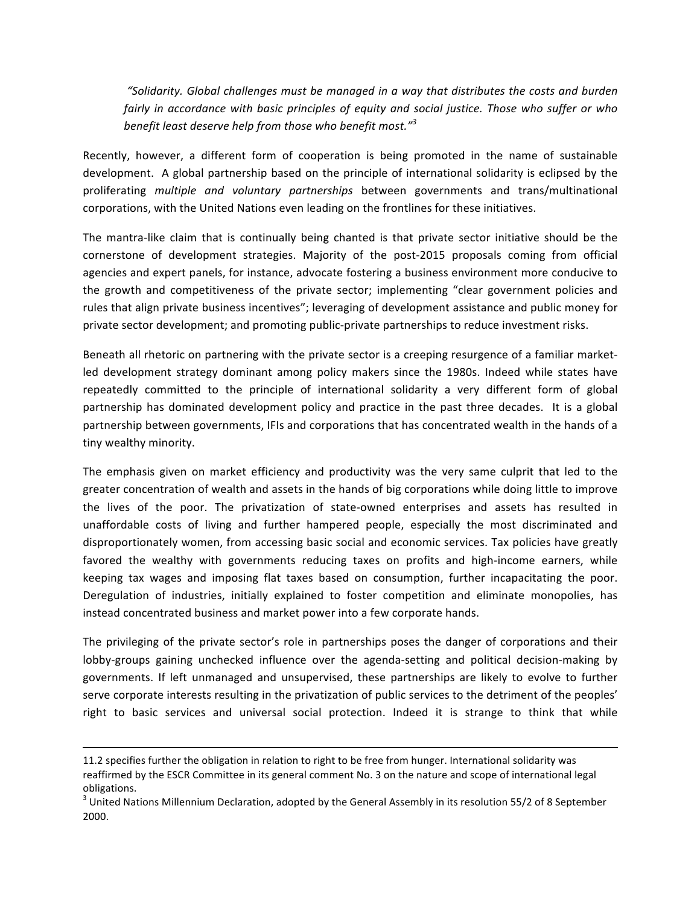*"Solidarity. Global challenges must be managed in a way that distributes the costs and burden fairly* in accordance with basic principles of equity and social justice. Those who suffer or who *benefit least deserve help from those who benefit most.*"<sup>3</sup>

Recently, however, a different form of cooperation is being promoted in the name of sustainable development. A global partnership based on the principle of international solidarity is eclipsed by the proliferating *multiple and voluntary partnerships* between governments and trans/multinational corporations, with the United Nations even leading on the frontlines for these initiatives.

The mantra-like claim that is continually being chanted is that private sector initiative should be the cornerstone of development strategies. Majority of the post-2015 proposals coming from official agencies and expert panels, for instance, advocate fostering a business environment more conducive to the growth and competitiveness of the private sector; implementing "clear government policies and rules that align private business incentives"; leveraging of development assistance and public money for private sector development; and promoting public-private partnerships to reduce investment risks.

Beneath all rhetoric on partnering with the private sector is a creeping resurgence of a familiar marketled development strategy dominant among policy makers since the 1980s. Indeed while states have repeatedly committed to the principle of international solidarity a very different form of global partnership has dominated development policy and practice in the past three decades. It is a global partnership between governments, IFIs and corporations that has concentrated wealth in the hands of a tiny wealthy minority.

The emphasis given on market efficiency and productivity was the very same culprit that led to the greater concentration of wealth and assets in the hands of big corporations while doing little to improve the lives of the poor. The privatization of state-owned enterprises and assets has resulted in unaffordable costs of living and further hampered people, especially the most discriminated and disproportionately women, from accessing basic social and economic services. Tax policies have greatly favored the wealthy with governments reducing taxes on profits and high-income earners, while keeping tax wages and imposing flat taxes based on consumption, further incapacitating the poor. Deregulation of industries, initially explained to foster competition and eliminate monopolies, has instead concentrated business and market power into a few corporate hands.

The privileging of the private sector's role in partnerships poses the danger of corporations and their lobby-groups gaining unchecked influence over the agenda-setting and political decision-making by governments. If left unmanaged and unsupervised, these partnerships are likely to evolve to further serve corporate interests resulting in the privatization of public services to the detriment of the peoples' right to basic services and universal social protection. Indeed it is strange to think that while

<u> 1989 - Andrea Santa Andrea Andrea Andrea Andrea Andrea Andrea Andrea Andrea Andrea Andrea Andrea Andrea Andr</u>

<sup>11.2</sup> specifies further the obligation in relation to right to be free from hunger. International solidarity was reaffirmed by the ESCR Committee in its general comment No. 3 on the nature and scope of international legal obligations.

 $3$  United Nations Millennium Declaration, adopted by the General Assembly in its resolution 55/2 of 8 September 2000.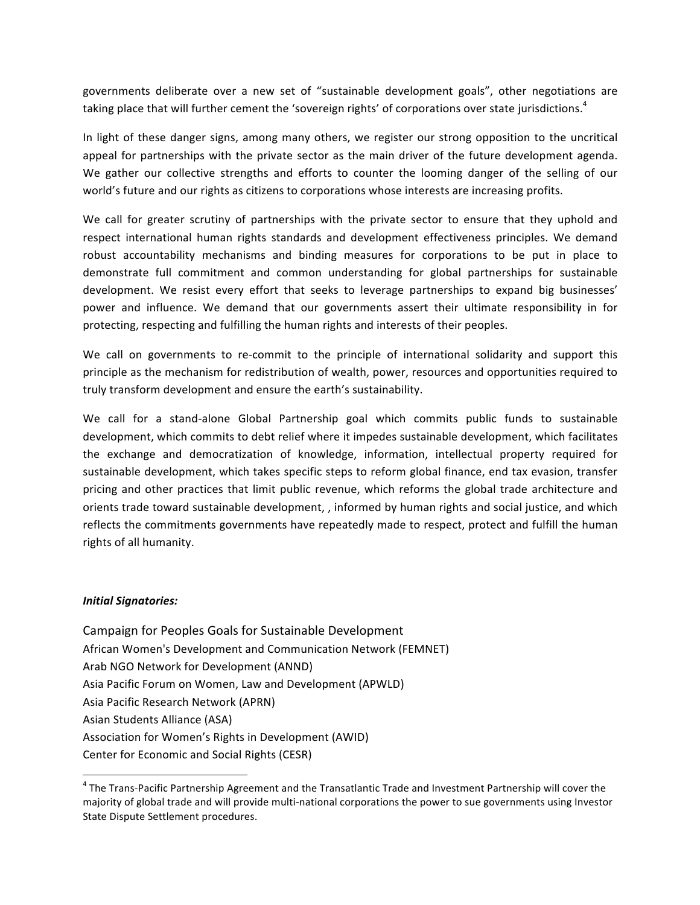governments deliberate over a new set of "sustainable development goals", other negotiations are taking place that will further cement the 'sovereign rights' of corporations over state jurisdictions.<sup>4</sup>

In light of these danger signs, among many others, we register our strong opposition to the uncritical appeal for partnerships with the private sector as the main driver of the future development agenda. We gather our collective strengths and efforts to counter the looming danger of the selling of our world's future and our rights as citizens to corporations whose interests are increasing profits.

We call for greater scrutiny of partnerships with the private sector to ensure that they uphold and respect international human rights standards and development effectiveness principles. We demand robust accountability mechanisms and binding measures for corporations to be put in place to demonstrate full commitment and common understanding for global partnerships for sustainable development. We resist every effort that seeks to leverage partnerships to expand big businesses' power and influence. We demand that our governments assert their ultimate responsibility in for protecting, respecting and fulfilling the human rights and interests of their peoples.

We call on governments to re-commit to the principle of international solidarity and support this principle as the mechanism for redistribution of wealth, power, resources and opportunities required to truly transform development and ensure the earth's sustainability.

We call for a stand-alone Global Partnership goal which commits public funds to sustainable development, which commits to debt relief where it impedes sustainable development, which facilitates the exchange and democratization of knowledge, information, intellectual property required for sustainable development, which takes specific steps to reform global finance, end tax evasion, transfer pricing and other practices that limit public revenue, which reforms the global trade architecture and orients trade toward sustainable development, , informed by human rights and social justice, and which reflects the commitments governments have repeatedly made to respect, protect and fulfill the human rights of all humanity.

## *Initial Signatories:*

<u> 1989 - Johann Stein, markin film yn y breninn y breninn y breninn y breninn y breninn y breninn y breninn y b</u>

Campaign for Peoples Goals for Sustainable Development African Women's Development and Communication Network (FEMNET) Arab NGO Network for Development (ANND) Asia Pacific Forum on Women, Law and Development (APWLD) Asia Pacific Research Network (APRN) Asian Students Alliance (ASA) Association for Women's Rights in Development (AWID) Center for Economic and Social Rights (CESR)

 $4$  The Trans-Pacific Partnership Agreement and the Transatlantic Trade and Investment Partnership will cover the majority of global trade and will provide multi-national corporations the power to sue governments using Investor State Dispute Settlement procedures.